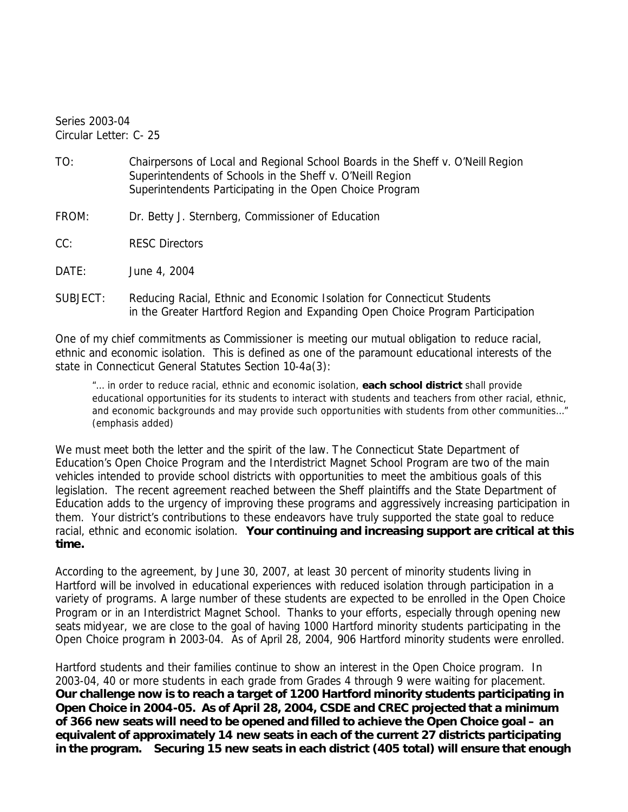Series 2003-04 Circular Letter: C- 25

- TO: Chairpersons of Local and Regional School Boards in the *Sheff v. O'Neill* Region Superintendents of Schools in the *Sheff v. O'Neill* Region Superintendents Participating in the Open Choice Program
- FROM: Dr. Betty J. Sternberg, Commissioner of Education
- CC: RESC Directors

DATE: June 4, 2004

SUBJECT: Reducing Racial, Ethnic and Economic Isolation for Connecticut Students in the Greater Hartford Region and Expanding Open Choice Program Participation

One of my chief commitments as Commissioner is meeting our mutual obligation to reduce racial, ethnic and economic isolation. This is defined as one of the paramount educational interests of the state in Connecticut General Statutes Section 10-4a(3):

"… in order to reduce racial, ethnic and economic isolation, *each school district* shall provide educational opportunities for its students to interact with students and teachers from other racial, ethnic, and economic backgrounds and may provide such opportunities with students from other communities…" (emphasis added)

We must meet both the letter and the spirit of the law. The Connecticut State Department of Education's Open Choice Program and the Interdistrict Magnet School Program are two of the main vehicles intended to provide school districts with opportunities to meet the ambitious goals of this legislation. The recent agreement reached between the *Sheff* plaintiffs and the State Department of Education adds to the urgency of improving these programs and aggressively increasing participation in them. Your district's contributions to these endeavors have truly supported the state goal to reduce racial, ethnic and economic isolation. **Your continuing and increasing support are critical at this time.** 

According to the agreement, by June 30, 2007, at least 30 percent of minority students living in Hartford will be involved in educational experiences with reduced isolation through participation in a variety of programs. A large number of these students are expected to be enrolled in the Open Choice Program or in an Interdistrict Magnet School. Thanks to your efforts, especially through opening new seats midyear, we are close to the goal of having 1000 Hartford minority students participating in the Open Choice program in 2003-04. As of April 28, 2004, 906 Hartford minority students were enrolled.

Hartford students and their families continue to show an interest in the Open Choice program. In 2003-04, 40 or more students in each grade from Grades 4 through 9 were waiting for placement. **Our challenge now is to reach a target of 1200 Hartford minority students participating in Open Choice in 2004-05. As of April 28, 2004, CSDE and CREC projected that a minimum of 366 new seats will need to be opened and filled to achieve the Open Choice goal – an equivalent of approximately 14 new seats in each of the current 27 districts participating in the program. Securing 15 new seats in each district (405 total) will ensure that enough**